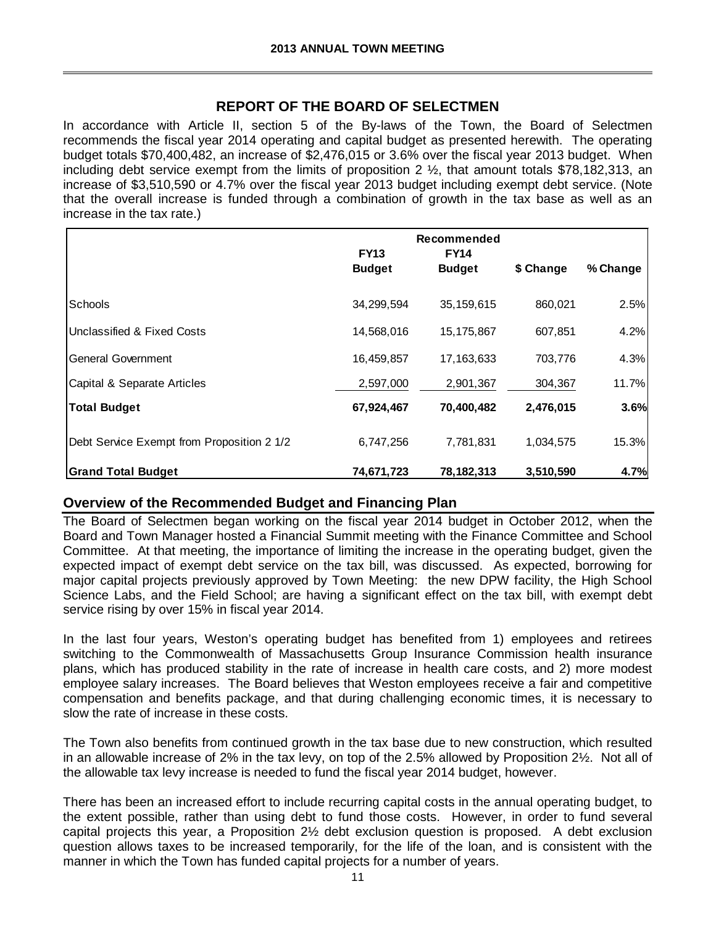## **REPORT OF THE BOARD OF SELECTMEN**

In accordance with Article II, section 5 of the By-laws of the Town, the Board of Selectmen recommends the fiscal year 2014 operating and capital budget as presented herewith. The operating budget totals \$70,400,482, an increase of \$2,476,015 or 3.6% over the fiscal year 2013 budget. When including debt service exempt from the limits of proposition 2 ½, that amount totals \$78,182,313, an increase of \$3,510,590 or 4.7% over the fiscal year 2013 budget including exempt debt service. (Note that the overall increase is funded through a combination of growth in the tax base as well as an increase in the tax rate.)

|                                            | Recommended                  |                              |           |          |
|--------------------------------------------|------------------------------|------------------------------|-----------|----------|
|                                            | <b>FY13</b><br><b>Budget</b> | <b>FY14</b><br><b>Budget</b> | \$ Change | % Change |
| Schools                                    | 34,299,594                   | 35, 159, 615                 | 860,021   | 2.5%     |
| Unclassified & Fixed Costs                 | 14,568,016                   | 15,175,867                   | 607,851   | 4.2%     |
| <b>General Government</b>                  | 16,459,857                   | 17, 163, 633                 | 703,776   | 4.3%     |
| Capital & Separate Articles                | 2,597,000                    | 2,901,367                    | 304,367   | 11.7%    |
| <b>Total Budget</b>                        | 67,924,467                   | 70,400,482                   | 2,476,015 | 3.6%     |
| Debt Service Exempt from Proposition 2 1/2 | 6,747,256                    | 7,781,831                    | 1,034,575 | 15.3%    |
| <b>Grand Total Budget</b>                  | 74,671,723                   | 78, 182, 313                 | 3,510,590 | 4.7%     |

## **Overview of the Recommended Budget and Financing Plan**

The Board of Selectmen began working on the fiscal year 2014 budget in October 2012, when the Board and Town Manager hosted a Financial Summit meeting with the Finance Committee and School Committee. At that meeting, the importance of limiting the increase in the operating budget, given the expected impact of exempt debt service on the tax bill, was discussed. As expected, borrowing for major capital projects previously approved by Town Meeting: the new DPW facility, the High School Science Labs, and the Field School; are having a significant effect on the tax bill, with exempt debt service rising by over 15% in fiscal year 2014.

In the last four years, Weston's operating budget has benefited from 1) employees and retirees switching to the Commonwealth of Massachusetts Group Insurance Commission health insurance plans, which has produced stability in the rate of increase in health care costs, and 2) more modest employee salary increases. The Board believes that Weston employees receive a fair and competitive compensation and benefits package, and that during challenging economic times, it is necessary to slow the rate of increase in these costs.

The Town also benefits from continued growth in the tax base due to new construction, which resulted in an allowable increase of 2% in the tax levy, on top of the 2.5% allowed by Proposition 2½. Not all of the allowable tax levy increase is needed to fund the fiscal year 2014 budget, however.

There has been an increased effort to include recurring capital costs in the annual operating budget, to the extent possible, rather than using debt to fund those costs. However, in order to fund several capital projects this year, a Proposition 2½ debt exclusion question is proposed. A debt exclusion question allows taxes to be increased temporarily, for the life of the loan, and is consistent with the manner in which the Town has funded capital projects for a number of years.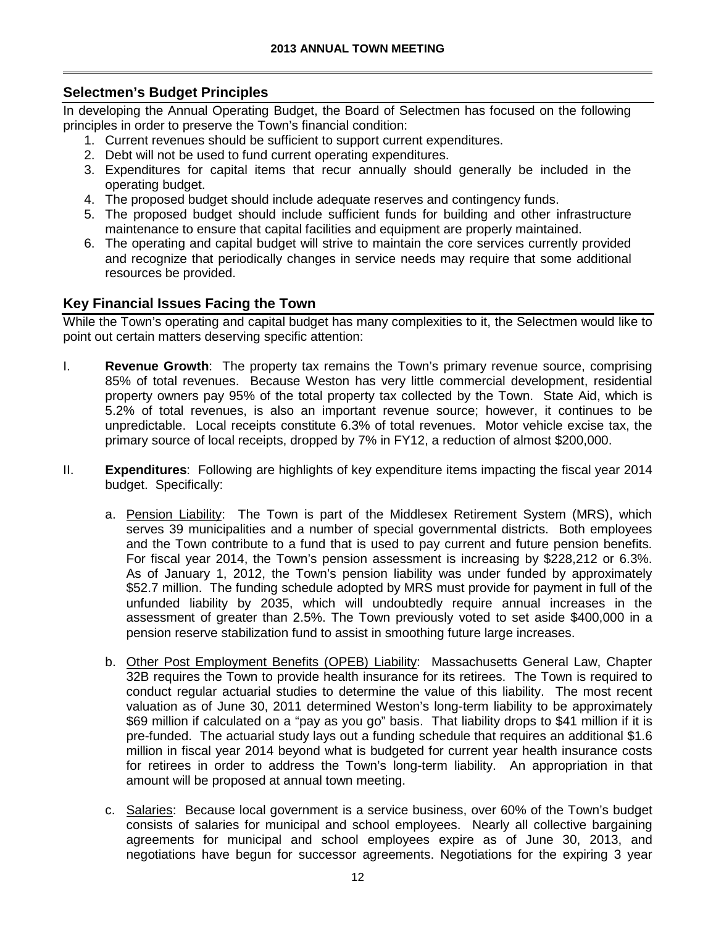## **Selectmen's Budget Principles**

In developing the Annual Operating Budget, the Board of Selectmen has focused on the following principles in order to preserve the Town's financial condition:

- 1. Current revenues should be sufficient to support current expenditures.
- 2. Debt will not be used to fund current operating expenditures.
- 3. Expenditures for capital items that recur annually should generally be included in the operating budget.
- 4. The proposed budget should include adequate reserves and contingency funds.
- 5. The proposed budget should include sufficient funds for building and other infrastructure maintenance to ensure that capital facilities and equipment are properly maintained.
- 6. The operating and capital budget will strive to maintain the core services currently provided and recognize that periodically changes in service needs may require that some additional resources be provided.

# **Key Financial Issues Facing the Town**

While the Town's operating and capital budget has many complexities to it, the Selectmen would like to point out certain matters deserving specific attention:

- I. **Revenue Growth**: The property tax remains the Town's primary revenue source, comprising 85% of total revenues. Because Weston has very little commercial development, residential property owners pay 95% of the total property tax collected by the Town. State Aid, which is 5.2% of total revenues, is also an important revenue source; however, it continues to be unpredictable. Local receipts constitute 6.3% of total revenues. Motor vehicle excise tax, the primary source of local receipts, dropped by 7% in FY12, a reduction of almost \$200,000.
- II. **Expenditures**: Following are highlights of key expenditure items impacting the fiscal year 2014 budget. Specifically:
	- a. Pension Liability: The Town is part of the Middlesex Retirement System (MRS), which serves 39 municipalities and a number of special governmental districts. Both employees and the Town contribute to a fund that is used to pay current and future pension benefits. For fiscal year 2014, the Town's pension assessment is increasing by \$228,212 or 6.3%. As of January 1, 2012, the Town's pension liability was under funded by approximately \$52.7 million. The funding schedule adopted by MRS must provide for payment in full of the unfunded liability by 2035, which will undoubtedly require annual increases in the assessment of greater than 2.5%. The Town previously voted to set aside \$400,000 in a pension reserve stabilization fund to assist in smoothing future large increases.
	- b. Other Post Employment Benefits (OPEB) Liability: Massachusetts General Law, Chapter 32B requires the Town to provide health insurance for its retirees. The Town is required to conduct regular actuarial studies to determine the value of this liability. The most recent valuation as of June 30, 2011 determined Weston's long-term liability to be approximately \$69 million if calculated on a "pay as you go" basis. That liability drops to \$41 million if it is pre-funded. The actuarial study lays out a funding schedule that requires an additional \$1.6 million in fiscal year 2014 beyond what is budgeted for current year health insurance costs for retirees in order to address the Town's long-term liability. An appropriation in that amount will be proposed at annual town meeting.
	- c. Salaries: Because local government is a service business, over 60% of the Town's budget consists of salaries for municipal and school employees. Nearly all collective bargaining agreements for municipal and school employees expire as of June 30, 2013, and negotiations have begun for successor agreements. Negotiations for the expiring 3 year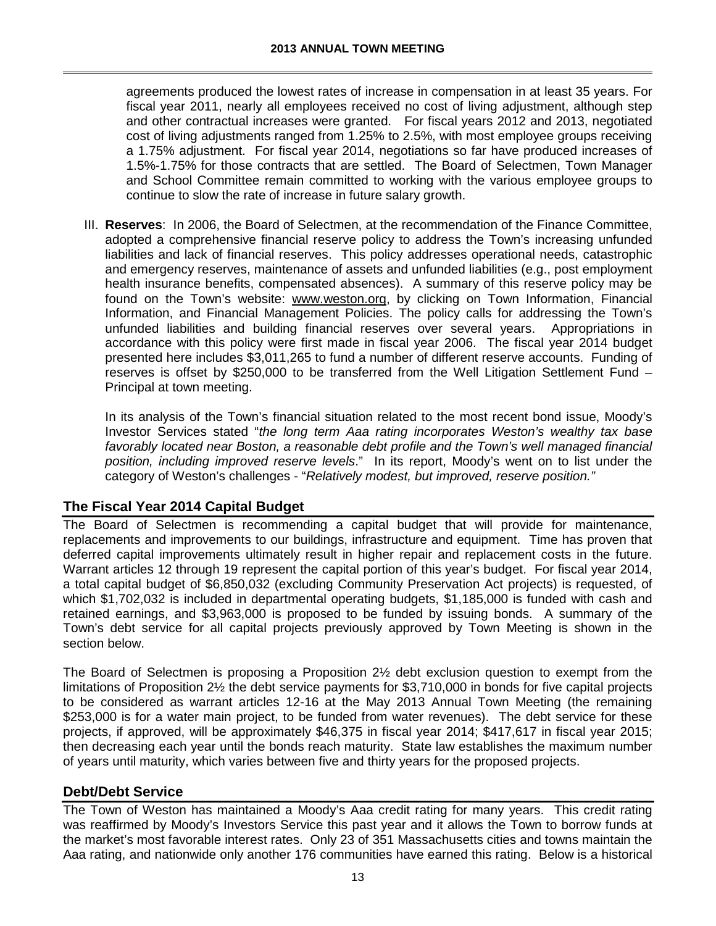agreements produced the lowest rates of increase in compensation in at least 35 years. For fiscal year 2011, nearly all employees received no cost of living adjustment, although step and other contractual increases were granted. For fiscal years 2012 and 2013, negotiated cost of living adjustments ranged from 1.25% to 2.5%, with most employee groups receiving a 1.75% adjustment. For fiscal year 2014, negotiations so far have produced increases of 1.5%-1.75% for those contracts that are settled. The Board of Selectmen, Town Manager and School Committee remain committed to working with the various employee groups to continue to slow the rate of increase in future salary growth.

III. **Reserves**: In 2006, the Board of Selectmen, at the recommendation of the Finance Committee, adopted a comprehensive financial reserve policy to address the Town's increasing unfunded liabilities and lack of financial reserves. This policy addresses operational needs, catastrophic and emergency reserves, maintenance of assets and unfunded liabilities (e.g., post employment health insurance benefits, compensated absences). A summary of this reserve policy may be found on the Town's website: [www.weston.org,](http://www.weston.org/) by clicking on Town Information, Financial Information, and Financial Management Policies. The policy calls for addressing the Town's unfunded liabilities and building financial reserves over several years. Appropriations in accordance with this policy were first made in fiscal year 2006. The fiscal year 2014 budget presented here includes \$3,011,265 to fund a number of different reserve accounts. Funding of reserves is offset by \$250,000 to be transferred from the Well Litigation Settlement Fund – Principal at town meeting.

In its analysis of the Town's financial situation related to the most recent bond issue, Moody's Investor Services stated "*the long term Aaa rating incorporates Weston's wealthy tax base*  favorably located near Boston, a reasonable debt profile and the Town's well managed financial *position, including improved reserve levels*." In its report, Moody's went on to list under the category of Weston's challenges - "*Relatively modest, but improved, reserve position."* 

# **The Fiscal Year 2014 Capital Budget**

The Board of Selectmen is recommending a capital budget that will provide for maintenance, replacements and improvements to our buildings, infrastructure and equipment. Time has proven that deferred capital improvements ultimately result in higher repair and replacement costs in the future. Warrant articles 12 through 19 represent the capital portion of this year's budget. For fiscal year 2014, a total capital budget of \$6,850,032 (excluding Community Preservation Act projects) is requested, of which \$1,702,032 is included in departmental operating budgets, \$1,185,000 is funded with cash and retained earnings, and \$3,963,000 is proposed to be funded by issuing bonds. A summary of the Town's debt service for all capital projects previously approved by Town Meeting is shown in the section below.

The Board of Selectmen is proposing a Proposition 2½ debt exclusion question to exempt from the limitations of Proposition 2½ the debt service payments for \$3,710,000 in bonds for five capital projects to be considered as warrant articles 12-16 at the May 2013 Annual Town Meeting (the remaining \$253,000 is for a water main project, to be funded from water revenues). The debt service for these projects, if approved, will be approximately \$46,375 in fiscal year 2014; \$417,617 in fiscal year 2015; then decreasing each year until the bonds reach maturity. State law establishes the maximum number of years until maturity, which varies between five and thirty years for the proposed projects.

## **Debt/Debt Service**

The Town of Weston has maintained a Moody's Aaa credit rating for many years. This credit rating was reaffirmed by Moody's Investors Service this past year and it allows the Town to borrow funds at the market's most favorable interest rates. Only 23 of 351 Massachusetts cities and towns maintain the Aaa rating, and nationwide only another 176 communities have earned this rating. Below is a historical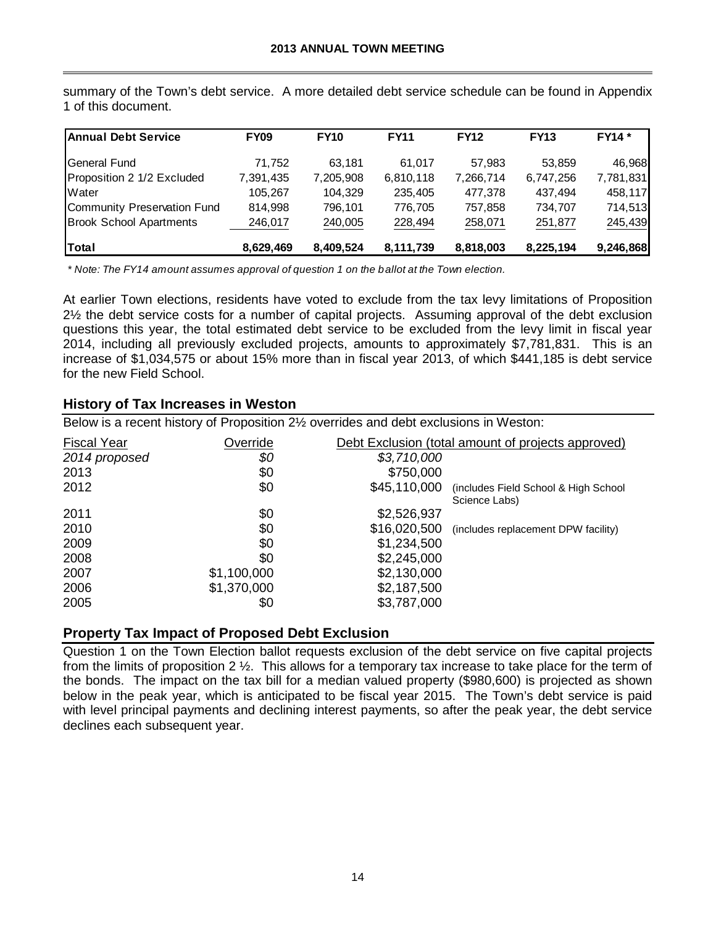| <b>Annual Debt Service</b>     | <b>FY09</b> | <b>FY10</b> | <b>FY11</b> | <b>FY12</b> | <b>FY13</b> | <b>FY14</b> * |
|--------------------------------|-------------|-------------|-------------|-------------|-------------|---------------|
| lGeneral Fund                  | 71.752      | 63.181      | 61.017      | 57.983      | 53.859      | 46,968        |
| Proposition 2 1/2 Excluded     | 7,391,435   | 7,205,908   | 6,810,118   | 7,266,714   | 6,747,256   | 7,781,831     |
| Water                          | 105,267     | 104,329     | 235,405     | 477,378     | 437.494     | 458,117       |
| Community Preservation Fund    | 814,998     | 796.101     | 776.705     | 757.858     | 734,707     | 714,513       |
| <b>Brook School Apartments</b> | 246,017     | 240,005     | 228,494     | 258,071     | 251,877     | 245,439       |
| Total                          | 8,629,469   | 8,409,524   | 8,111,739   | 8,818,003   | 8,225,194   | 9,246,868     |

summary of the Town's debt service. A more detailed debt service schedule can be found in Appendix 1 of this document.

*\* Note: The FY14 amount assumes approval of question 1 on the ballot at the Town election.*

At earlier Town elections, residents have voted to exclude from the tax levy limitations of Proposition 2½ the debt service costs for a number of capital projects. Assuming approval of the debt exclusion questions this year, the total estimated debt service to be excluded from the levy limit in fiscal year 2014, including all previously excluded projects, amounts to approximately \$7,781,831. This is an increase of \$1,034,575 or about 15% more than in fiscal year 2013, of which \$441,185 is debt service for the new Field School.

### **History of Tax Increases in Weston**

Below is a recent history of Proposition 2½ overrides and debt exclusions in Weston:

| <b>Fiscal Year</b> | Override    | Debt Exclusion (total amount of projects approved)                     |  |  |  |  |
|--------------------|-------------|------------------------------------------------------------------------|--|--|--|--|
| 2014 proposed      | \$0         | \$3,710,000                                                            |  |  |  |  |
| 2013               | \$0         | \$750,000                                                              |  |  |  |  |
| 2012               | \$0         | \$45,110,000<br>(includes Field School & High School)<br>Science Labs) |  |  |  |  |
| 2011               | \$0         | \$2,526,937                                                            |  |  |  |  |
| 2010               | \$0         | \$16,020,500<br>(includes replacement DPW facility)                    |  |  |  |  |
| 2009               | \$0         | \$1,234,500                                                            |  |  |  |  |
| 2008               | \$0         | \$2,245,000                                                            |  |  |  |  |
| 2007               | \$1,100,000 | \$2,130,000                                                            |  |  |  |  |
| 2006               | \$1,370,000 | \$2,187,500                                                            |  |  |  |  |
| 2005               | \$0         | \$3,787,000                                                            |  |  |  |  |

## **Property Tax Impact of Proposed Debt Exclusion**

Question 1 on the Town Election ballot requests exclusion of the debt service on five capital projects from the limits of proposition 2 ½. This allows for a temporary tax increase to take place for the term of the bonds. The impact on the tax bill for a median valued property (\$980,600) is projected as shown below in the peak year, which is anticipated to be fiscal year 2015. The Town's debt service is paid with level principal payments and declining interest payments, so after the peak year, the debt service declines each subsequent year.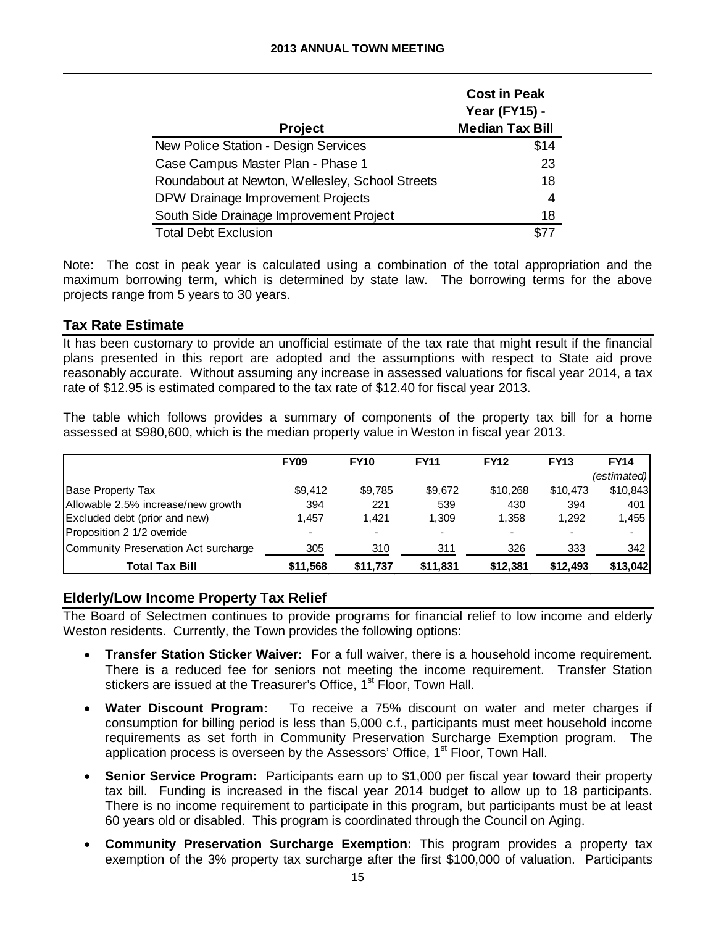| <b>Project</b>                                  | <b>Cost in Peak</b><br>Year (FY15) -<br><b>Median Tax Bill</b> |
|-------------------------------------------------|----------------------------------------------------------------|
| New Police Station - Design Services            | \$14                                                           |
| Case Campus Master Plan - Phase 1               | 23                                                             |
| Roundabout at Newton, Wellesley, School Streets | 18                                                             |
| DPW Drainage Improvement Projects               | 4                                                              |
| South Side Drainage Improvement Project         | 18                                                             |
| <b>Total Debt Exclusion</b>                     |                                                                |

Note: The cost in peak year is calculated using a combination of the total appropriation and the maximum borrowing term, which is determined by state law. The borrowing terms for the above projects range from 5 years to 30 years.

## **Tax Rate Estimate**

It has been customary to provide an unofficial estimate of the tax rate that might result if the financial plans presented in this report are adopted and the assumptions with respect to State aid prove reasonably accurate. Without assuming any increase in assessed valuations for fiscal year 2014, a tax rate of \$12.95 is estimated compared to the tax rate of \$12.40 for fiscal year 2013.

The table which follows provides a summary of components of the property tax bill for a home assessed at \$980,600, which is the median property value in Weston in fiscal year 2013.

|                                      | <b>FY09</b> | <b>FY10</b> | <b>FY11</b>              | <b>FY12</b> | <b>FY13</b> | <b>FY14</b> |
|--------------------------------------|-------------|-------------|--------------------------|-------------|-------------|-------------|
|                                      |             |             |                          |             |             | (estimated) |
| <b>Base Property Tax</b>             | \$9.412     | \$9,785     | \$9.672                  | \$10,268    | \$10,473    | \$10,843    |
| Allowable 2.5% increase/new growth   | 394         | 221         | 539                      | 430         | 394         | 401         |
| Excluded debt (prior and new)        | 1.457       | 1.421       | 1.309                    | 1,358       | 1.292       | 1,455       |
| Proposition 2 1/2 override           | -           |             | $\overline{\phantom{0}}$ |             |             |             |
| Community Preservation Act surcharge | 305         | 310         | 311                      | 326         | 333         | 342         |
| <b>Total Tax Bill</b>                | \$11,568    | \$11,737    | \$11,831                 | \$12,381    | \$12,493    | \$13,042    |

## **Elderly/Low Income Property Tax Relief**

The Board of Selectmen continues to provide programs for financial relief to low income and elderly Weston residents. Currently, the Town provides the following options:

- **Transfer Station Sticker Waiver:** For a full waiver, there is a household income requirement. There is a reduced fee for seniors not meeting the income requirement. Transfer Station stickers are issued at the Treasurer's Office, 1<sup>st</sup> Floor, Town Hall.
- **Water Discount Program:** To receive a 75% discount on water and meter charges if consumption for billing period is less than 5,000 c.f., participants must meet household income requirements as set forth in Community Preservation Surcharge Exemption program. The application process is overseen by the Assessors' Office, 1<sup>st</sup> Floor, Town Hall.
- **Senior Service Program:** Participants earn up to \$1,000 per fiscal year toward their property tax bill. Funding is increased in the fiscal year 2014 budget to allow up to 18 participants. There is no income requirement to participate in this program, but participants must be at least 60 years old or disabled. This program is coordinated through the Council on Aging.
- **Community Preservation Surcharge Exemption:** This program provides a property tax exemption of the 3% property tax surcharge after the first \$100,000 of valuation. Participants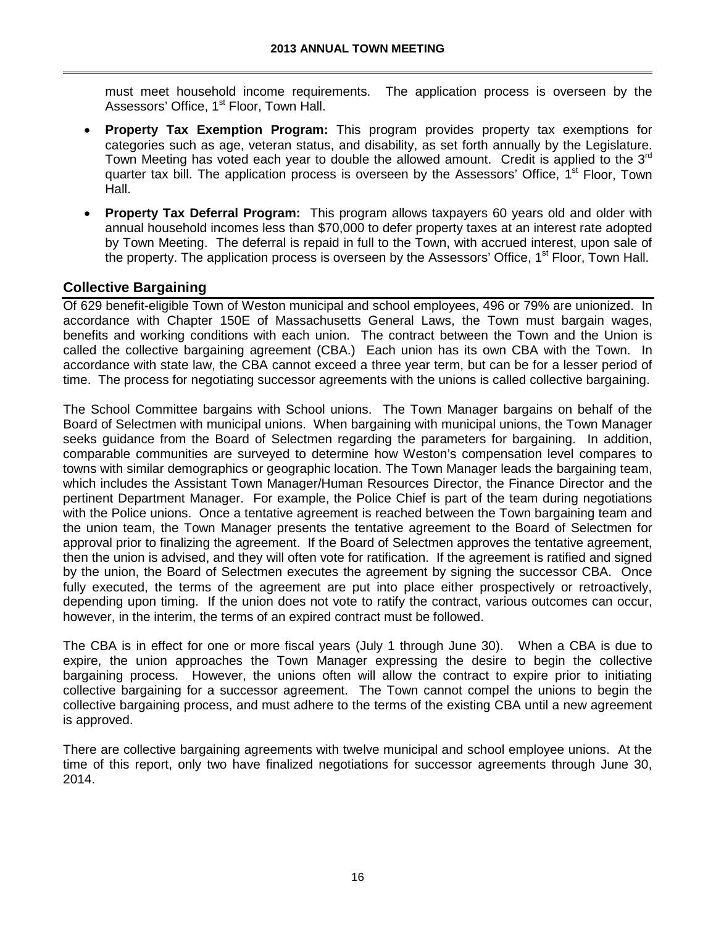must meet household income requirements. The application process is overseen by the Assessors' Office, 1<sup>st</sup> Floor, Town Hall.

- **Property Tax Exemption Program:** This program provides property tax exemptions for categories such as age, veteran status, and disability, as set forth annually by the Legislature. Town Meeting has voted each year to double the allowed amount. Credit is applied to the 3<sup>rd</sup> quarter tax bill. The application process is overseen by the Assessors' Office, 1<sup>st</sup> Floor, Town Hall.
- **Property Tax Deferral Program:** This program allows taxpayers 60 years old and older with annual household incomes less than \$70,000 to defer property taxes at an interest rate adopted by Town Meeting. The deferral is repaid in full to the Town, with accrued interest, upon sale of the property. The application process is overseen by the Assessors' Office,  $1<sup>st</sup>$  Floor, Town Hall.

# **Collective Bargaining**

Of 629 benefit-eligible Town of Weston municipal and school employees, 496 or 79% are unionized. In accordance with Chapter 150E of Massachusetts General Laws, the Town must bargain wages, benefits and working conditions with each union. The contract between the Town and the Union is called the collective bargaining agreement (CBA.) Each union has its own CBA with the Town. In accordance with state law, the CBA cannot exceed a three year term, but can be for a lesser period of time. The process for negotiating successor agreements with the unions is called collective bargaining.

The School Committee bargains with School unions. The Town Manager bargains on behalf of the Board of Selectmen with municipal unions. When bargaining with municipal unions, the Town Manager seeks guidance from the Board of Selectmen regarding the parameters for bargaining. In addition, comparable communities are surveyed to determine how Weston's compensation level compares to towns with similar demographics or geographic location. The Town Manager leads the bargaining team, which includes the Assistant Town Manager/Human Resources Director, the Finance Director and the pertinent Department Manager. For example, the Police Chief is part of the team during negotiations with the Police unions. Once a tentative agreement is reached between the Town bargaining team and the union team, the Town Manager presents the tentative agreement to the Board of Selectmen for approval prior to finalizing the agreement. If the Board of Selectmen approves the tentative agreement, then the union is advised, and they will often vote for ratification. If the agreement is ratified and signed by the union, the Board of Selectmen executes the agreement by signing the successor CBA. Once fully executed, the terms of the agreement are put into place either prospectively or retroactively, depending upon timing. If the union does not vote to ratify the contract, various outcomes can occur, however, in the interim, the terms of an expired contract must be followed.

The CBA is in effect for one or more fiscal years (July 1 through June 30). When a CBA is due to expire, the union approaches the Town Manager expressing the desire to begin the collective bargaining process. However, the unions often will allow the contract to expire prior to initiating collective bargaining for a successor agreement. The Town cannot compel the unions to begin the collective bargaining process, and must adhere to the terms of the existing CBA until a new agreement is approved.

There are collective bargaining agreements with twelve municipal and school employee unions. At the time of this report, only two have finalized negotiations for successor agreements through June 30, 2014.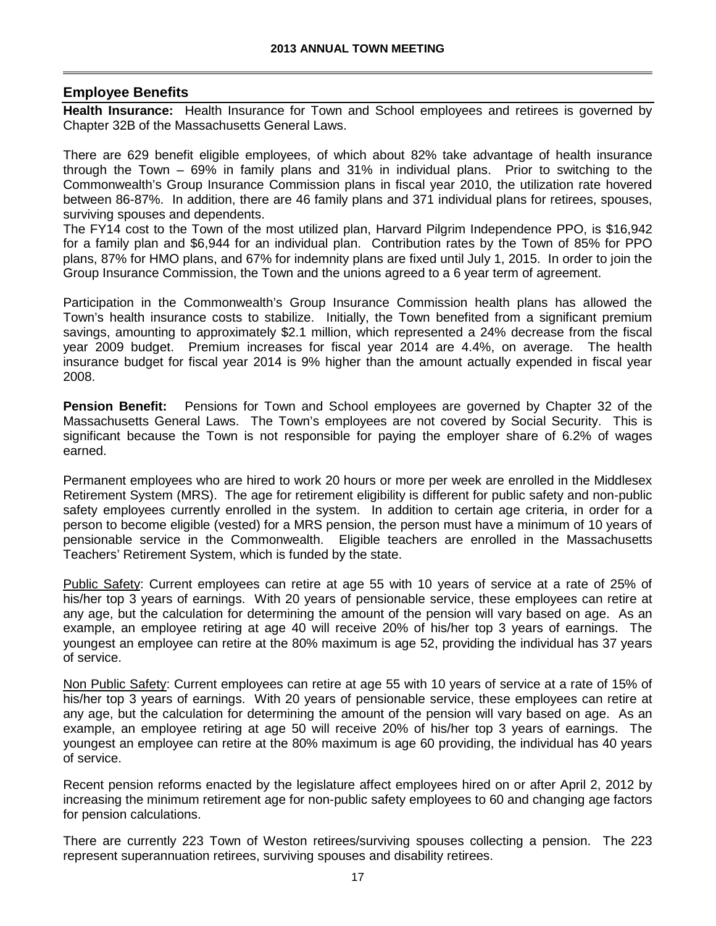### **Employee Benefits**

**Health Insurance:** Health Insurance for Town and School employees and retirees is governed by Chapter 32B of the Massachusetts General Laws.

There are 629 benefit eligible employees, of which about 82% take advantage of health insurance through the Town – 69% in family plans and 31% in individual plans. Prior to switching to the Commonwealth's Group Insurance Commission plans in fiscal year 2010, the utilization rate hovered between 86-87%. In addition, there are 46 family plans and 371 individual plans for retirees, spouses, surviving spouses and dependents.

The FY14 cost to the Town of the most utilized plan, Harvard Pilgrim Independence PPO, is \$16,942 for a family plan and \$6,944 for an individual plan. Contribution rates by the Town of 85% for PPO plans, 87% for HMO plans, and 67% for indemnity plans are fixed until July 1, 2015. In order to join the Group Insurance Commission, the Town and the unions agreed to a 6 year term of agreement.

Participation in the Commonwealth's Group Insurance Commission health plans has allowed the Town's health insurance costs to stabilize. Initially, the Town benefited from a significant premium savings, amounting to approximately \$2.1 million, which represented a 24% decrease from the fiscal year 2009 budget. Premium increases for fiscal year 2014 are 4.4%, on average. The health insurance budget for fiscal year 2014 is 9% higher than the amount actually expended in fiscal year 2008.

**Pension Benefit:** Pensions for Town and School employees are governed by Chapter 32 of the Massachusetts General Laws. The Town's employees are not covered by Social Security. This is significant because the Town is not responsible for paying the employer share of 6.2% of wages earned.

Permanent employees who are hired to work 20 hours or more per week are enrolled in the Middlesex Retirement System (MRS). The age for retirement eligibility is different for public safety and non-public safety employees currently enrolled in the system. In addition to certain age criteria, in order for a person to become eligible (vested) for a MRS pension, the person must have a minimum of 10 years of pensionable service in the Commonwealth. Eligible teachers are enrolled in the Massachusetts Teachers' Retirement System, which is funded by the state.

Public Safety: Current employees can retire at age 55 with 10 years of service at a rate of 25% of his/her top 3 years of earnings. With 20 years of pensionable service, these employees can retire at any age, but the calculation for determining the amount of the pension will vary based on age. As an example, an employee retiring at age 40 will receive 20% of his/her top 3 years of earnings. The youngest an employee can retire at the 80% maximum is age 52, providing the individual has 37 years of service.

Non Public Safety: Current employees can retire at age 55 with 10 years of service at a rate of 15% of his/her top 3 years of earnings. With 20 years of pensionable service, these employees can retire at any age, but the calculation for determining the amount of the pension will vary based on age. As an example, an employee retiring at age 50 will receive 20% of his/her top 3 years of earnings. The youngest an employee can retire at the 80% maximum is age 60 providing, the individual has 40 years of service.

Recent pension reforms enacted by the legislature affect employees hired on or after April 2, 2012 by increasing the minimum retirement age for non-public safety employees to 60 and changing age factors for pension calculations.

There are currently 223 Town of Weston retirees/surviving spouses collecting a pension. The 223 represent superannuation retirees, surviving spouses and disability retirees.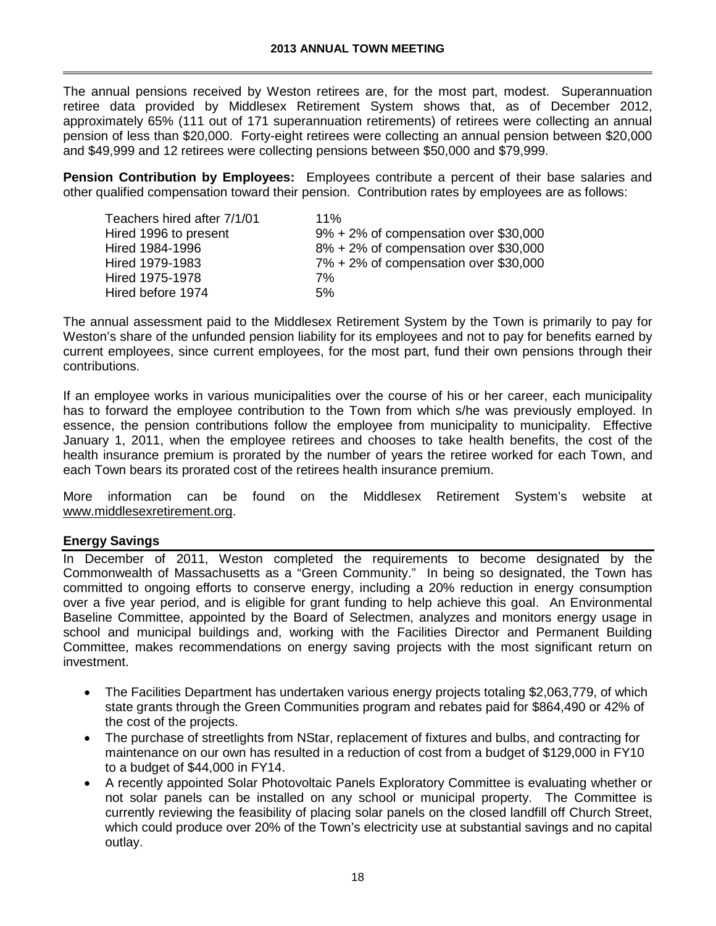The annual pensions received by Weston retirees are, for the most part, modest. Superannuation retiree data provided by Middlesex Retirement System shows that, as of December 2012, approximately 65% (111 out of 171 superannuation retirements) of retirees were collecting an annual pension of less than \$20,000. Forty-eight retirees were collecting an annual pension between \$20,000 and \$49,999 and 12 retirees were collecting pensions between \$50,000 and \$79,999.

**Pension Contribution by Employees:** Employees contribute a percent of their base salaries and other qualified compensation toward their pension. Contribution rates by employees are as follows:

| 11%                                       |
|-------------------------------------------|
| $9\% + 2\%$ of compensation over \$30,000 |
| $8\% + 2\%$ of compensation over \$30,000 |
| $7\% + 2\%$ of compensation over \$30,000 |
| 7%                                        |
| 5%                                        |
|                                           |

The annual assessment paid to the Middlesex Retirement System by the Town is primarily to pay for Weston's share of the unfunded pension liability for its employees and not to pay for benefits earned by current employees, since current employees, for the most part, fund their own pensions through their contributions.

If an employee works in various municipalities over the course of his or her career, each municipality has to forward the employee contribution to the Town from which s/he was previously employed. In essence, the pension contributions follow the employee from municipality to municipality. Effective January 1, 2011, when the employee retirees and chooses to take health benefits, the cost of the health insurance premium is prorated by the number of years the retiree worked for each Town, and each Town bears its prorated cost of the retirees health insurance premium.

More information can be found on the Middlesex Retirement System's website at [www.middlesexretirement.org.](http://www.middlesexretirement.org/)

### **Energy Savings**

In December of 2011, Weston completed the requirements to become designated by the Commonwealth of Massachusetts as a "Green Community." In being so designated, the Town has committed to ongoing efforts to conserve energy, including a 20% reduction in energy consumption over a five year period, and is eligible for grant funding to help achieve this goal. An Environmental Baseline Committee, appointed by the Board of Selectmen, analyzes and monitors energy usage in school and municipal buildings and, working with the Facilities Director and Permanent Building Committee, makes recommendations on energy saving projects with the most significant return on investment.

- The Facilities Department has undertaken various energy projects totaling \$2,063,779, of which state grants through the Green Communities program and rebates paid for \$864,490 or 42% of the cost of the projects.
- The purchase of streetlights from NStar, replacement of fixtures and bulbs, and contracting for maintenance on our own has resulted in a reduction of cost from a budget of \$129,000 in FY10 to a budget of \$44,000 in FY14.
- A recently appointed Solar Photovoltaic Panels Exploratory Committee is evaluating whether or not solar panels can be installed on any school or municipal property. The Committee is currently reviewing the feasibility of placing solar panels on the closed landfill off Church Street, which could produce over 20% of the Town's electricity use at substantial savings and no capital outlay.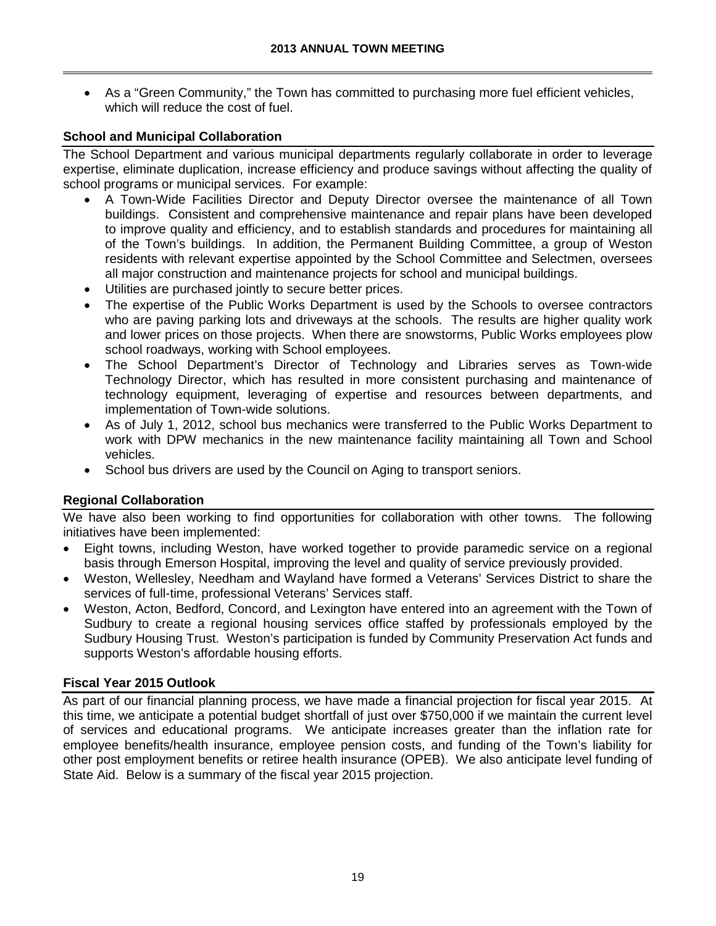• As a "Green Community," the Town has committed to purchasing more fuel efficient vehicles, which will reduce the cost of fuel.

## **School and Municipal Collaboration**

The School Department and various municipal departments regularly collaborate in order to leverage expertise, eliminate duplication, increase efficiency and produce savings without affecting the quality of school programs or municipal services. For example:

- A Town-Wide Facilities Director and Deputy Director oversee the maintenance of all Town buildings. Consistent and comprehensive maintenance and repair plans have been developed to improve quality and efficiency, and to establish standards and procedures for maintaining all of the Town's buildings. In addition, the Permanent Building Committee, a group of Weston residents with relevant expertise appointed by the School Committee and Selectmen, oversees all major construction and maintenance projects for school and municipal buildings.
- Utilities are purchased jointly to secure better prices.
- The expertise of the Public Works Department is used by the Schools to oversee contractors who are paving parking lots and driveways at the schools. The results are higher quality work and lower prices on those projects. When there are snowstorms, Public Works employees plow school roadways, working with School employees.
- The School Department's Director of Technology and Libraries serves as Town-wide Technology Director, which has resulted in more consistent purchasing and maintenance of technology equipment, leveraging of expertise and resources between departments, and implementation of Town-wide solutions.
- As of July 1, 2012, school bus mechanics were transferred to the Public Works Department to work with DPW mechanics in the new maintenance facility maintaining all Town and School vehicles.
- School bus drivers are used by the Council on Aging to transport seniors.

## **Regional Collaboration**

We have also been working to find opportunities for collaboration with other towns. The following initiatives have been implemented:

- Eight towns, including Weston, have worked together to provide paramedic service on a regional basis through Emerson Hospital, improving the level and quality of service previously provided.
- Weston, Wellesley, Needham and Wayland have formed a Veterans' Services District to share the services of full-time, professional Veterans' Services staff.
- Weston, Acton, Bedford, Concord, and Lexington have entered into an agreement with the Town of Sudbury to create a regional housing services office staffed by professionals employed by the Sudbury Housing Trust. Weston's participation is funded by Community Preservation Act funds and supports Weston's affordable housing efforts.

## **Fiscal Year 2015 Outlook**

As part of our financial planning process, we have made a financial projection for fiscal year 2015. At this time, we anticipate a potential budget shortfall of just over \$750,000 if we maintain the current level of services and educational programs. We anticipate increases greater than the inflation rate for employee benefits/health insurance, employee pension costs, and funding of the Town's liability for other post employment benefits or retiree health insurance (OPEB). We also anticipate level funding of State Aid. Below is a summary of the fiscal year 2015 projection.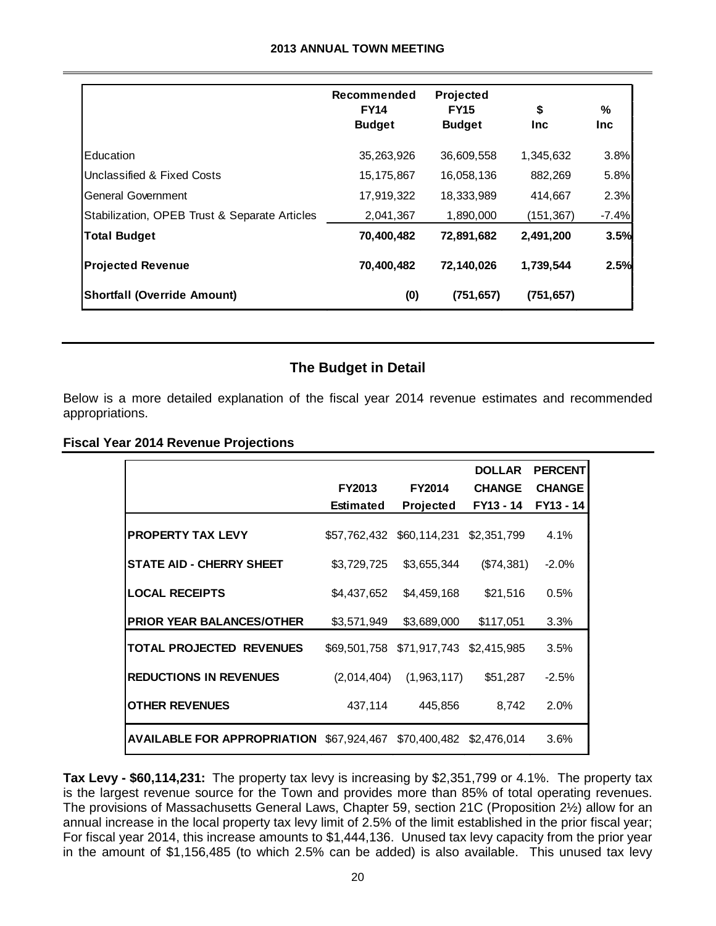#### **2013 ANNUAL TOWN MEETING**

|                                               | Recommended<br><b>FY14</b><br><b>Budget</b> | Projected<br><b>FY15</b><br><b>Budget</b> | \$<br><b>Inc</b> | %<br><b>Inc</b> |
|-----------------------------------------------|---------------------------------------------|-------------------------------------------|------------------|-----------------|
| Education                                     | 35,263,926                                  | 36,609,558                                | 1,345,632        | 3.8%            |
| Unclassified & Fixed Costs                    | 15, 175, 867                                | 16,058,136                                | 882,269          | 5.8%            |
| General Government                            | 17,919,322                                  | 18,333,989                                | 414,667          | 2.3%            |
| Stabilization, OPEB Trust & Separate Articles | 2,041,367                                   | 1.890.000                                 | (151, 367)       | $-7.4%$         |
| <b>Total Budget</b>                           | 70,400,482                                  | 72,891,682                                | 2,491,200        | 3.5%            |
| <b>Projected Revenue</b>                      | 70,400,482                                  | 72,140,026                                | 1,739,544        | 2.5%            |
| <b>Shortfall (Override Amount)</b>            | (0)                                         | (751, 657)                                | (751, 657)       |                 |

## **The Budget in Detail**

Below is a more detailed explanation of the fiscal year 2014 revenue estimates and recommended appropriations.

#### **Fiscal Year 2014 Revenue Projections**

|                                                 |                  |                           | <b>DOLLAR</b>              | <b>PERCENT</b> |
|-------------------------------------------------|------------------|---------------------------|----------------------------|----------------|
|                                                 | <b>FY2013</b>    | <b>FY2014</b>             | <b>CHANGE</b><br>FY13 - 14 | <b>CHANGE</b>  |
|                                                 | <b>Estimated</b> | <b>Projected</b>          |                            | FY13 - 14      |
| <b>PROPERTY TAX LEVY</b>                        | \$57,762,432     | \$60,114,231              | \$2,351,799                | 4.1%           |
| <b>STATE AID - CHERRY SHEET</b>                 | \$3,729,725      | \$3,655,344               | (\$74,381)                 | $-2.0%$        |
| <b>LOCAL RECEIPTS</b>                           | \$4,437,652      | \$4,459,168               | \$21,516                   | 0.5%           |
| <b>PRIOR YEAR BALANCES/OTHER</b>                | \$3,571,949      | \$3,689,000               | \$117,051                  | 3.3%           |
| <b>TOTAL PROJECTED REVENUES</b>                 |                  | \$69,501,758 \$71,917,743 | \$2.415.985                | 3.5%           |
| <b>REDUCTIONS IN REVENUES</b>                   | (2,014,404)      | (1,963,117)               | \$51,287                   | $-2.5%$        |
| <b>OTHER REVENUES</b>                           | 437,114          | 445,856                   | 8,742                      | 2.0%           |
| <b>AVAILABLE FOR APPROPRIATION \$67,924,467</b> |                  | \$70,400,482 \$2,476,014  |                            | 3.6%           |

**Tax Levy - \$60,114,231:** The property tax levy is increasing by \$2,351,799 or 4.1%. The property tax is the largest revenue source for the Town and provides more than 85% of total operating revenues. The provisions of Massachusetts General Laws, Chapter 59, section 21C (Proposition 2½) allow for an annual increase in the local property tax levy limit of 2.5% of the limit established in the prior fiscal year; For fiscal year 2014, this increase amounts to \$1,444,136. Unused tax levy capacity from the prior year in the amount of \$1,156,485 (to which 2.5% can be added) is also available. This unused tax levy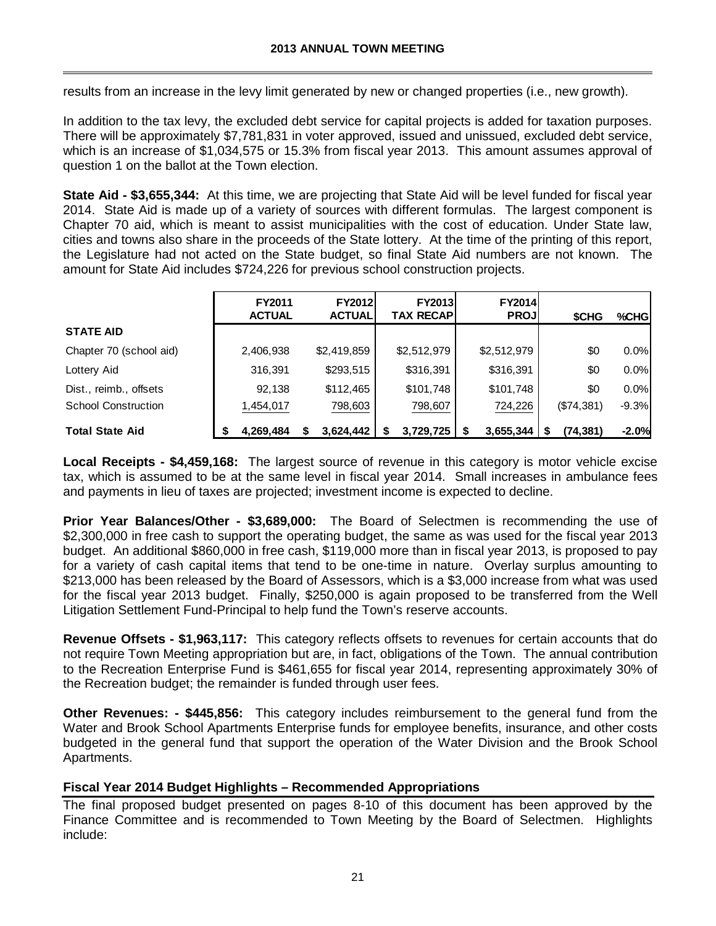results from an increase in the levy limit generated by new or changed properties (i.e., new growth).

In addition to the tax levy, the excluded debt service for capital projects is added for taxation purposes. There will be approximately \$7,781,831 in voter approved, issued and unissued, excluded debt service, which is an increase of \$1,034,575 or 15.3% from fiscal year 2013. This amount assumes approval of question 1 on the ballot at the Town election.

**State Aid - \$3,655,344:** At this time, we are projecting that State Aid will be level funded for fiscal year 2014. State Aid is made up of a variety of sources with different formulas. The largest component is Chapter 70 aid, which is meant to assist municipalities with the cost of education. Under State law, cities and towns also share in the proceeds of the State lottery. At the time of the printing of this report, the Legislature had not acted on the State budget, so final State Aid numbers are not known. The amount for State Aid includes \$724,226 for previous school construction projects.

|                            | FY2011<br><b>ACTUAL</b> | <b>FY2012</b><br><b>ACTUAL</b> | <b>FY2013</b><br><b>TAX RECAPI</b> | <b>FY2014</b><br><b>PROJ</b> | <b>SCHG</b> | %CHG    |
|----------------------------|-------------------------|--------------------------------|------------------------------------|------------------------------|-------------|---------|
| <b>STATE AID</b>           |                         |                                |                                    |                              |             |         |
| Chapter 70 (school aid)    | 2,406,938               | \$2,419,859                    | \$2,512,979                        | \$2,512,979                  | \$0         | 0.0%    |
| Lottery Aid                | 316,391                 | \$293,515                      | \$316,391                          | \$316,391                    | \$0         | 0.0%    |
| Dist., reimb., offsets     | 92,138                  | \$112,465                      | \$101,748                          | \$101,748                    | \$0         | 0.0%    |
| <b>School Construction</b> | 1,454,017               | 798,603                        | 798,607                            | 724,226                      | (\$74,381)  | $-9.3%$ |
| <b>Total State Aid</b>     | 4,269,484               | 3.624.442                      | 3,729,725                          | 3.655.344                    | (74, 381)   | $-2.0%$ |

**Local Receipts - \$4,459,168:** The largest source of revenue in this category is motor vehicle excise tax, which is assumed to be at the same level in fiscal year 2014. Small increases in ambulance fees and payments in lieu of taxes are projected; investment income is expected to decline.

**Prior Year Balances/Other - \$3,689,000:** The Board of Selectmen is recommending the use of \$2,300,000 in free cash to support the operating budget, the same as was used for the fiscal year 2013 budget. An additional \$860,000 in free cash, \$119,000 more than in fiscal year 2013, is proposed to pay for a variety of cash capital items that tend to be one-time in nature. Overlay surplus amounting to \$213,000 has been released by the Board of Assessors, which is a \$3,000 increase from what was used for the fiscal year 2013 budget. Finally, \$250,000 is again proposed to be transferred from the Well Litigation Settlement Fund-Principal to help fund the Town's reserve accounts.

**Revenue Offsets - \$1,963,117:** This category reflects offsets to revenues for certain accounts that do not require Town Meeting appropriation but are, in fact, obligations of the Town. The annual contribution to the Recreation Enterprise Fund is \$461,655 for fiscal year 2014, representing approximately 30% of the Recreation budget; the remainder is funded through user fees.

**Other Revenues: - \$445,856:** This category includes reimbursement to the general fund from the Water and Brook School Apartments Enterprise funds for employee benefits, insurance, and other costs budgeted in the general fund that support the operation of the Water Division and the Brook School Apartments.

### **Fiscal Year 2014 Budget Highlights – Recommended Appropriations**

The final proposed budget presented on pages 8-10 of this document has been approved by the Finance Committee and is recommended to Town Meeting by the Board of Selectmen. Highlights include: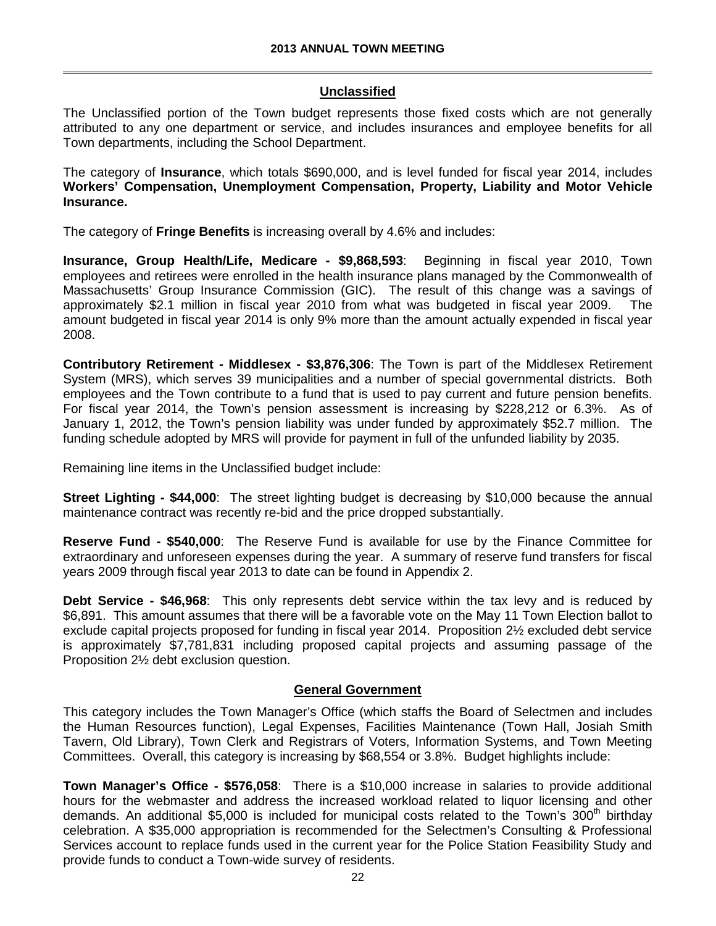### **Unclassified**

The Unclassified portion of the Town budget represents those fixed costs which are not generally attributed to any one department or service, and includes insurances and employee benefits for all Town departments, including the School Department.

The category of **Insurance**, which totals \$690,000, and is level funded for fiscal year 2014, includes **Workers' Compensation, Unemployment Compensation, Property, Liability and Motor Vehicle Insurance.**

The category of **Fringe Benefits** is increasing overall by 4.6% and includes:

**Insurance, Group Health/Life, Medicare - \$9,868,593**: Beginning in fiscal year 2010, Town employees and retirees were enrolled in the health insurance plans managed by the Commonwealth of Massachusetts' Group Insurance Commission (GIC). The result of this change was a savings of approximately \$2.1 million in fiscal year 2010 from what was budgeted in fiscal year 2009. The amount budgeted in fiscal year 2014 is only 9% more than the amount actually expended in fiscal year 2008.

**Contributory Retirement - Middlesex - \$3,876,306**: The Town is part of the Middlesex Retirement System (MRS), which serves 39 municipalities and a number of special governmental districts. Both employees and the Town contribute to a fund that is used to pay current and future pension benefits. For fiscal year 2014, the Town's pension assessment is increasing by \$228,212 or 6.3%. As of January 1, 2012, the Town's pension liability was under funded by approximately \$52.7 million. The funding schedule adopted by MRS will provide for payment in full of the unfunded liability by 2035.

Remaining line items in the Unclassified budget include:

**Street Lighting - \$44,000**: The street lighting budget is decreasing by \$10,000 because the annual maintenance contract was recently re-bid and the price dropped substantially.

**Reserve Fund - \$540,000**: The Reserve Fund is available for use by the Finance Committee for extraordinary and unforeseen expenses during the year. A summary of reserve fund transfers for fiscal years 2009 through fiscal year 2013 to date can be found in Appendix 2.

**Debt Service - \$46,968**: This only represents debt service within the tax levy and is reduced by \$6,891. This amount assumes that there will be a favorable vote on the May 11 Town Election ballot to exclude capital projects proposed for funding in fiscal year 2014. Proposition 2½ excluded debt service is approximately \$7,781,831 including proposed capital projects and assuming passage of the Proposition 2½ debt exclusion question.

### **General Government**

This category includes the Town Manager's Office (which staffs the Board of Selectmen and includes the Human Resources function), Legal Expenses, Facilities Maintenance (Town Hall, Josiah Smith Tavern, Old Library), Town Clerk and Registrars of Voters, Information Systems, and Town Meeting Committees. Overall, this category is increasing by \$68,554 or 3.8%. Budget highlights include:

**Town Manager's Office - \$576,058**: There is a \$10,000 increase in salaries to provide additional hours for the webmaster and address the increased workload related to liquor licensing and other demands. An additional \$5,000 is included for municipal costs related to the Town's  $300<sup>th</sup>$  birthday celebration. A \$35,000 appropriation is recommended for the Selectmen's Consulting & Professional Services account to replace funds used in the current year for the Police Station Feasibility Study and provide funds to conduct a Town-wide survey of residents.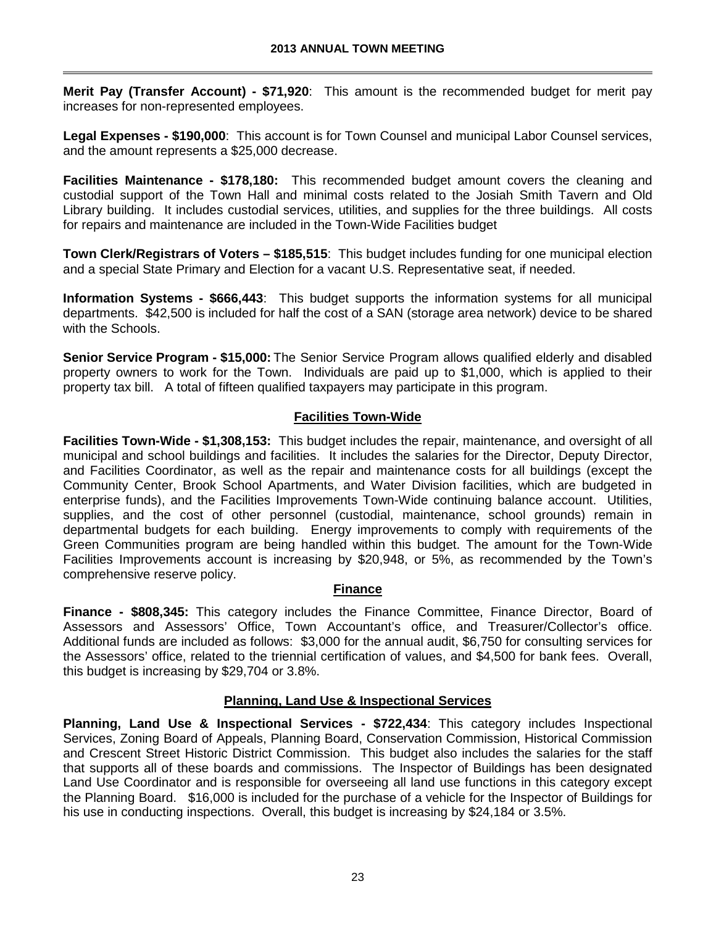**Merit Pay (Transfer Account) - \$71,920**: This amount is the recommended budget for merit pay increases for non-represented employees.

**Legal Expenses - \$190,000**: This account is for Town Counsel and municipal Labor Counsel services, and the amount represents a \$25,000 decrease.

**Facilities Maintenance - \$178,180:** This recommended budget amount covers the cleaning and custodial support of the Town Hall and minimal costs related to the Josiah Smith Tavern and Old Library building. It includes custodial services, utilities, and supplies for the three buildings. All costs for repairs and maintenance are included in the Town-Wide Facilities budget

**Town Clerk/Registrars of Voters – \$185,515**: This budget includes funding for one municipal election and a special State Primary and Election for a vacant U.S. Representative seat, if needed.

**Information Systems - \$666,443**: This budget supports the information systems for all municipal departments. \$42,500 is included for half the cost of a SAN (storage area network) device to be shared with the Schools.

**Senior Service Program - \$15,000:** The Senior Service Program allows qualified elderly and disabled property owners to work for the Town. Individuals are paid up to \$1,000, which is applied to their property tax bill. A total of fifteen qualified taxpayers may participate in this program.

### **Facilities Town-Wide**

**Facilities Town-Wide - \$1,308,153:** This budget includes the repair, maintenance, and oversight of all municipal and school buildings and facilities. It includes the salaries for the Director, Deputy Director, and Facilities Coordinator, as well as the repair and maintenance costs for all buildings (except the Community Center, Brook School Apartments, and Water Division facilities, which are budgeted in enterprise funds), and the Facilities Improvements Town-Wide continuing balance account. Utilities, supplies, and the cost of other personnel (custodial, maintenance, school grounds) remain in departmental budgets for each building. Energy improvements to comply with requirements of the Green Communities program are being handled within this budget. The amount for the Town-Wide Facilities Improvements account is increasing by \$20,948, or 5%, as recommended by the Town's comprehensive reserve policy.

### **Finance**

**Finance - \$808,345:** This category includes the Finance Committee, Finance Director, Board of Assessors and Assessors' Office, Town Accountant's office, and Treasurer/Collector's office. Additional funds are included as follows: \$3,000 for the annual audit, \$6,750 for consulting services for the Assessors' office, related to the triennial certification of values, and \$4,500 for bank fees. Overall, this budget is increasing by \$29,704 or 3.8%.

## **Planning, Land Use & Inspectional Services**

**Planning, Land Use & Inspectional Services - \$722,434**: This category includes Inspectional Services, Zoning Board of Appeals, Planning Board, Conservation Commission, Historical Commission and Crescent Street Historic District Commission. This budget also includes the salaries for the staff that supports all of these boards and commissions. The Inspector of Buildings has been designated Land Use Coordinator and is responsible for overseeing all land use functions in this category except the Planning Board. \$16,000 is included for the purchase of a vehicle for the Inspector of Buildings for his use in conducting inspections. Overall, this budget is increasing by \$24,184 or 3.5%.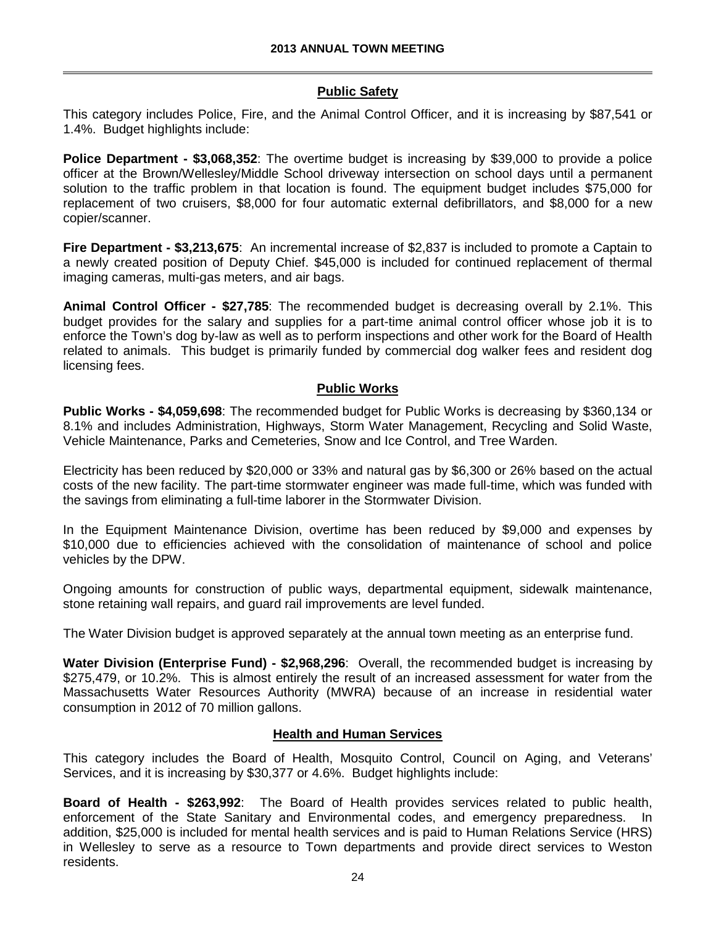## **Public Safety**

This category includes Police, Fire, and the Animal Control Officer, and it is increasing by \$87,541 or 1.4%. Budget highlights include:

**Police Department - \$3,068,352**: The overtime budget is increasing by \$39,000 to provide a police officer at the Brown/Wellesley/Middle School driveway intersection on school days until a permanent solution to the traffic problem in that location is found. The equipment budget includes \$75,000 for replacement of two cruisers, \$8,000 for four automatic external defibrillators, and \$8,000 for a new copier/scanner.

**Fire Department - \$3,213,675**: An incremental increase of \$2,837 is included to promote a Captain to a newly created position of Deputy Chief. \$45,000 is included for continued replacement of thermal imaging cameras, multi-gas meters, and air bags.

**Animal Control Officer - \$27,785**: The recommended budget is decreasing overall by 2.1%. This budget provides for the salary and supplies for a part-time animal control officer whose job it is to enforce the Town's dog by-law as well as to perform inspections and other work for the Board of Health related to animals. This budget is primarily funded by commercial dog walker fees and resident dog licensing fees.

### **Public Works**

**Public Works - \$4,059,698**: The recommended budget for Public Works is decreasing by \$360,134 or 8.1% and includes Administration, Highways, Storm Water Management, Recycling and Solid Waste, Vehicle Maintenance, Parks and Cemeteries, Snow and Ice Control, and Tree Warden.

Electricity has been reduced by \$20,000 or 33% and natural gas by \$6,300 or 26% based on the actual costs of the new facility. The part-time stormwater engineer was made full-time, which was funded with the savings from eliminating a full-time laborer in the Stormwater Division.

In the Equipment Maintenance Division, overtime has been reduced by \$9,000 and expenses by \$10,000 due to efficiencies achieved with the consolidation of maintenance of school and police vehicles by the DPW.

Ongoing amounts for construction of public ways, departmental equipment, sidewalk maintenance, stone retaining wall repairs, and guard rail improvements are level funded.

The Water Division budget is approved separately at the annual town meeting as an enterprise fund.

**Water Division (Enterprise Fund) - \$2,968,296**: Overall, the recommended budget is increasing by \$275,479, or 10.2%. This is almost entirely the result of an increased assessment for water from the Massachusetts Water Resources Authority (MWRA) because of an increase in residential water consumption in 2012 of 70 million gallons.

### **Health and Human Services**

This category includes the Board of Health, Mosquito Control, Council on Aging, and Veterans' Services, and it is increasing by \$30,377 or 4.6%. Budget highlights include:

**Board of Health - \$263,992**: The Board of Health provides services related to public health, enforcement of the State Sanitary and Environmental codes, and emergency preparedness. addition, \$25,000 is included for mental health services and is paid to Human Relations Service (HRS) in Wellesley to serve as a resource to Town departments and provide direct services to Weston residents.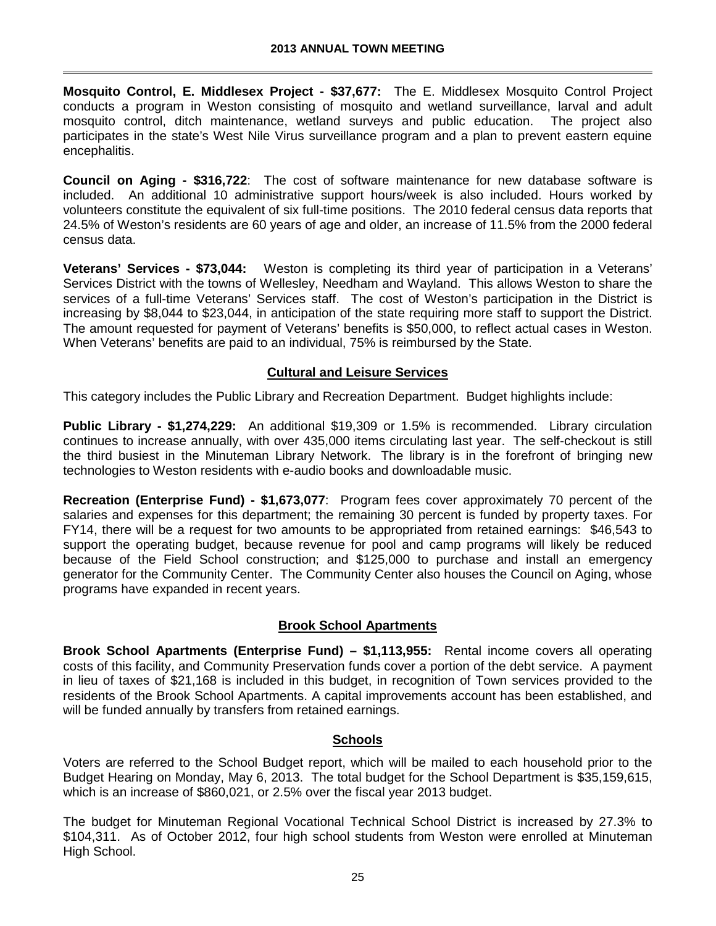**Mosquito Control, E. Middlesex Project - \$37,677:** The E. Middlesex Mosquito Control Project conducts a program in Weston consisting of mosquito and wetland surveillance, larval and adult mosquito control, ditch maintenance, wetland surveys and public education. The project also participates in the state's West Nile Virus surveillance program and a plan to prevent eastern equine encephalitis.

**Council on Aging - \$316,722**: The cost of software maintenance for new database software is included. An additional 10 administrative support hours/week is also included. Hours worked by volunteers constitute the equivalent of six full-time positions. The 2010 federal census data reports that 24.5% of Weston's residents are 60 years of age and older, an increase of 11.5% from the 2000 federal census data.

**Veterans' Services - \$73,044:** Weston is completing its third year of participation in a Veterans' Services District with the towns of Wellesley, Needham and Wayland. This allows Weston to share the services of a full-time Veterans' Services staff. The cost of Weston's participation in the District is increasing by \$8,044 to \$23,044, in anticipation of the state requiring more staff to support the District. The amount requested for payment of Veterans' benefits is \$50,000, to reflect actual cases in Weston. When Veterans' benefits are paid to an individual, 75% is reimbursed by the State.

### **Cultural and Leisure Services**

This category includes the Public Library and Recreation Department. Budget highlights include:

**Public Library - \$1,274,229:** An additional \$19,309 or 1.5% is recommended. Library circulation continues to increase annually, with over 435,000 items circulating last year. The self-checkout is still the third busiest in the Minuteman Library Network. The library is in the forefront of bringing new technologies to Weston residents with e-audio books and downloadable music.

**Recreation (Enterprise Fund) - \$1,673,077**: Program fees cover approximately 70 percent of the salaries and expenses for this department; the remaining 30 percent is funded by property taxes. For FY14, there will be a request for two amounts to be appropriated from retained earnings: \$46,543 to support the operating budget, because revenue for pool and camp programs will likely be reduced because of the Field School construction; and \$125,000 to purchase and install an emergency generator for the Community Center. The Community Center also houses the Council on Aging, whose programs have expanded in recent years.

## **Brook School Apartments**

**Brook School Apartments (Enterprise Fund) – \$1,113,955:** Rental income covers all operating costs of this facility, and Community Preservation funds cover a portion of the debt service. A payment in lieu of taxes of \$21,168 is included in this budget, in recognition of Town services provided to the residents of the Brook School Apartments. A capital improvements account has been established, and will be funded annually by transfers from retained earnings.

### **Schools**

Voters are referred to the School Budget report, which will be mailed to each household prior to the Budget Hearing on Monday, May 6, 2013. The total budget for the School Department is \$35,159,615, which is an increase of \$860,021, or 2.5% over the fiscal year 2013 budget.

The budget for Minuteman Regional Vocational Technical School District is increased by 27.3% to \$104,311. As of October 2012, four high school students from Weston were enrolled at Minuteman High School.